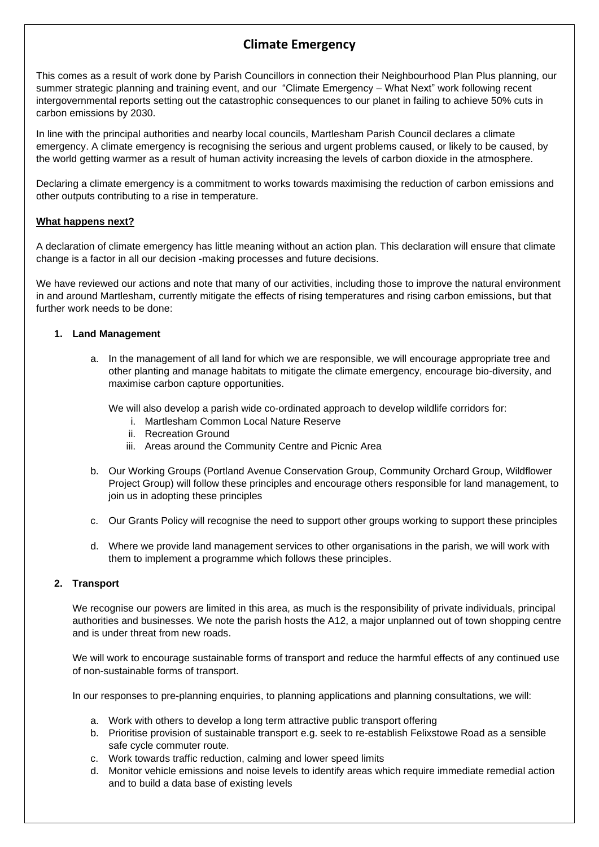# **Climate Emergency**

This comes as a result of work done by Parish Councillors in connection their Neighbourhood Plan Plus planning, our summer strategic planning and training event, and our "Climate Emergency – What Next" work following recent intergovernmental reports setting out the catastrophic consequences to our planet in failing to achieve 50% cuts in carbon emissions by 2030.

In line with the principal authorities and nearby local councils, Martlesham Parish Council declares a climate emergency. A climate emergency is recognising the serious and urgent problems caused, or likely to be caused, by the world getting warmer as a result of human activity increasing the levels of carbon dioxide in the atmosphere.

Declaring a climate emergency is a commitment to works towards maximising the reduction of carbon emissions and other outputs contributing to a rise in temperature.

## **What happens next?**

A declaration of climate emergency has little meaning without an action plan. This declaration will ensure that climate change is a factor in all our decision -making processes and future decisions.

We have reviewed our actions and note that many of our activities, including those to improve the natural environment in and around Martlesham, currently mitigate the effects of rising temperatures and rising carbon emissions, but that further work needs to be done:

## **1. Land Management**

a. In the management of all land for which we are responsible, we will encourage appropriate tree and other planting and manage habitats to mitigate the climate emergency, encourage bio-diversity, and maximise carbon capture opportunities.

We will also develop a parish wide co-ordinated approach to develop wildlife corridors for:

- i. Martlesham Common Local Nature Reserve
- ii. Recreation Ground
- iii. Areas around the Community Centre and Picnic Area
- b. Our Working Groups (Portland Avenue Conservation Group, Community Orchard Group, Wildflower Project Group) will follow these principles and encourage others responsible for land management, to join us in adopting these principles
- c. Our Grants Policy will recognise the need to support other groups working to support these principles
- d. Where we provide land management services to other organisations in the parish, we will work with them to implement a programme which follows these principles.

### **2. Transport**

We recognise our powers are limited in this area, as much is the responsibility of private individuals, principal authorities and businesses. We note the parish hosts the A12, a major unplanned out of town shopping centre and is under threat from new roads.

We will work to encourage sustainable forms of transport and reduce the harmful effects of any continued use of non-sustainable forms of transport.

In our responses to pre-planning enquiries, to planning applications and planning consultations, we will:

- a. Work with others to develop a long term attractive public transport offering
- b. Prioritise provision of sustainable transport e.g. seek to re-establish Felixstowe Road as a sensible safe cycle commuter route.
- c. Work towards traffic reduction, calming and lower speed limits
- d. Monitor vehicle emissions and noise levels to identify areas which require immediate remedial action and to build a data base of existing levels